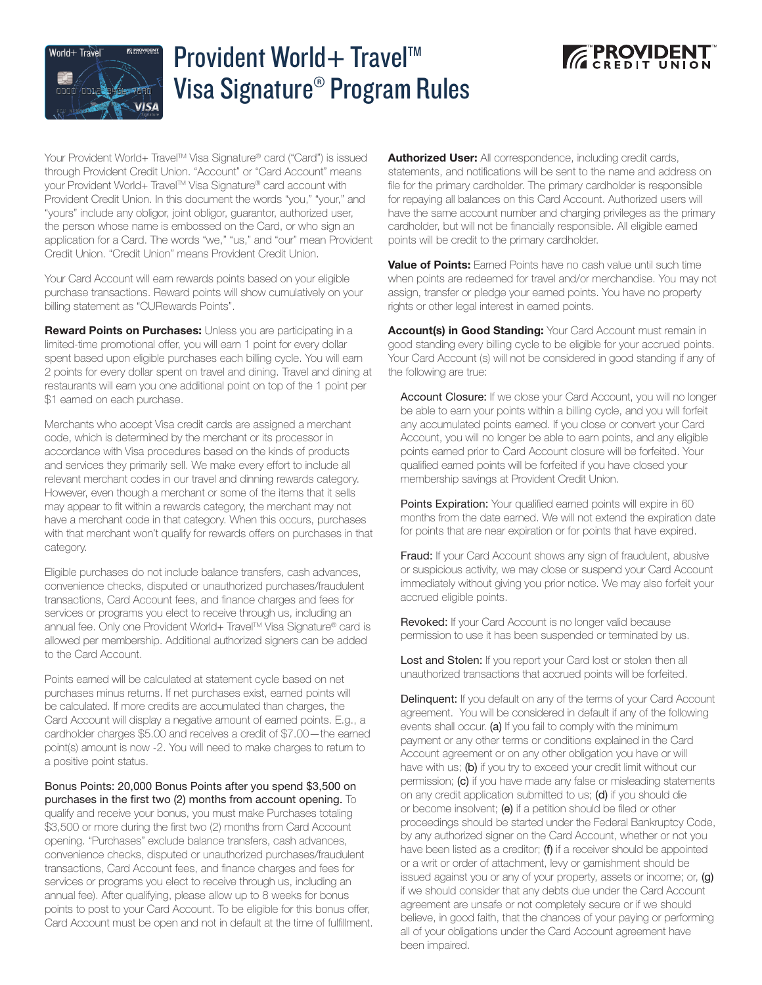

## Provident World+ Travel™ Visa Signature® Program Rules



Your Provident World+ Travel™ Visa Signature® card ("Card") is issued through Provident Credit Union. "Account" or "Card Account" means your Provident World+ Travel™ Visa Signature® card account with Provident Credit Union. In this document the words "you," "your," and "yours" include any obligor, joint obligor, guarantor, authorized user, the person whose name is embossed on the Card, or who sign an application for a Card. The words "we," "us," and "our" mean Provident Credit Union. "Credit Union" means Provident Credit Union.

Your Card Account will earn rewards points based on your eligible purchase transactions. Reward points will show cumulatively on your billing statement as "CURewards Points".

**Reward Points on Purchases:** Unless you are participating in a limited-time promotional offer, you will earn 1 point for every dollar spent based upon eligible purchases each billing cycle. You will earn 2 points for every dollar spent on travel and dining. Travel and dining at restaurants will earn you one additional point on top of the 1 point per \$1 earned on each purchase.

Merchants who accept Visa credit cards are assigned a merchant code, which is determined by the merchant or its processor in accordance with Visa procedures based on the kinds of products and services they primarily sell. We make every effort to include all relevant merchant codes in our travel and dinning rewards category. However, even though a merchant or some of the items that it sells may appear to fit within a rewards category, the merchant may not have a merchant code in that category. When this occurs, purchases with that merchant won't qualify for rewards offers on purchases in that category.

Eligible purchases do not include balance transfers, cash advances, convenience checks, disputed or unauthorized purchases/fraudulent transactions, Card Account fees, and finance charges and fees for services or programs you elect to receive through us, including an annual fee. Only one Provident World+ Travel™ Visa Signature® card is allowed per membership. Additional authorized signers can be added to the Card Account.

Points earned will be calculated at statement cycle based on net purchases minus returns. If net purchases exist, earned points will be calculated. If more credits are accumulated than charges, the Card Account will display a negative amount of earned points. E.g., a cardholder charges \$5.00 and receives a credit of \$7.00—the earned point(s) amount is now -2. You will need to make charges to return to a positive point status.

Bonus Points: 20,000 Bonus Points after you spend \$3,500 on purchases in the first two (2) months from account opening. To qualify and receive your bonus, you must make Purchases totaling \$3,500 or more during the first two (2) months from Card Account opening. "Purchases" exclude balance transfers, cash advances, convenience checks, disputed or unauthorized purchases/fraudulent transactions, Card Account fees, and finance charges and fees for services or programs you elect to receive through us, including an annual fee). After qualifying, please allow up to 8 weeks for bonus points to post to your Card Account. To be eligible for this bonus offer, Card Account must be open and not in default at the time of fulfillment.

Authorized User: All correspondence, including credit cards, statements, and notifications will be sent to the name and address on file for the primary cardholder. The primary cardholder is responsible for repaying all balances on this Card Account. Authorized users will have the same account number and charging privileges as the primary cardholder, but will not be financially responsible. All eligible earned points will be credit to the primary cardholder.

Value of Points: Famed Points have no cash value until such time when points are redeemed for travel and/or merchandise. You may not assign, transfer or pledge your earned points. You have no property rights or other legal interest in earned points.

Account(s) in Good Standing: Your Card Account must remain in good standing every billing cycle to be eligible for your accrued points. Your Card Account (s) will not be considered in good standing if any of the following are true:

Account Closure: If we close your Card Account, you will no longer be able to earn your points within a billing cycle, and you will forfeit any accumulated points earned. If you close or convert your Card Account, you will no longer be able to earn points, and any eligible points earned prior to Card Account closure will be forfeited. Your qualified earned points will be forfeited if you have closed your membership savings at Provident Credit Union.

Points Expiration: Your qualified earned points will expire in 60 months from the date earned. We will not extend the expiration date for points that are near expiration or for points that have expired.

Fraud: If your Card Account shows any sign of fraudulent, abusive or suspicious activity, we may close or suspend your Card Account immediately without giving you prior notice. We may also forfeit your accrued eligible points.

Revoked: If your Card Account is no longer valid because permission to use it has been suspended or terminated by us.

Lost and Stolen: If you report your Card lost or stolen then all unauthorized transactions that accrued points will be forfeited.

Delinquent: If you default on any of the terms of your Card Account agreement. You will be considered in default if any of the following events shall occur. (a) If you fail to comply with the minimum payment or any other terms or conditions explained in the Card Account agreement or on any other obligation you have or will have with us; (b) if you try to exceed your credit limit without our permission; (c) if you have made any false or misleading statements on any credit application submitted to us; (d) if you should die or become insolvent; (e) if a petition should be filed or other proceedings should be started under the Federal Bankruptcy Code, by any authorized signer on the Card Account, whether or not you have been listed as a creditor; (f) if a receiver should be appointed or a writ or order of attachment, levy or garnishment should be issued against you or any of your property, assets or income; or, (q) if we should consider that any debts due under the Card Account agreement are unsafe or not completely secure or if we should believe, in good faith, that the chances of your paying or performing all of your obligations under the Card Account agreement have been impaired.